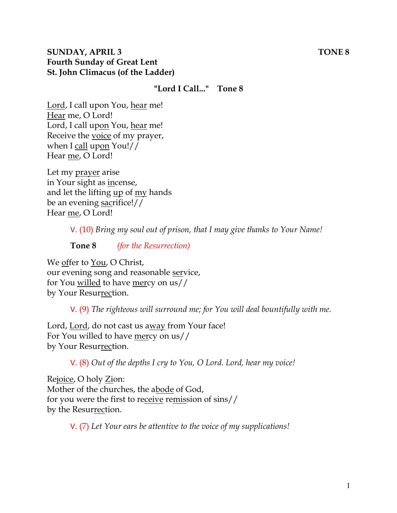### **SUNDAY, APRIL 3** TONE 8 **Fourth Sunday of Great Lent St. John Climacus (of the Ladder)**

### **"Lord I Call..." Tone 8**

Lord, I call upon You, hear me! Hear me, O Lord! Lord, I call upon You, hear me! Receive the voice of my prayer, when I call upon You!// Hear me, O Lord!

Let my prayer arise in Your sight as incense, and let the lifting up of my hands be an evening sacrifice!// Hear me, O Lord!

V. (10) *Bring my soul out of prison, that I may give thanks to Your Name!* 

**Tone 8** *(for the Resurrection)* 

We offer to You, O Christ, our evening song and reasonable service, for You willed to have mercy on us// by Your Resurrection.

V. (9) *The righteous will surround me; for You will deal bountifully with me.* 

Lord, Lord, do not cast us away from Your face! For You willed to have mercy on us// by Your Resurrection.

V. (8) *Out of the depths I cry to You, O Lord. Lord, hear my voice!* 

Rejoice, O holy Zion: Mother of the churches, the abode of God, for you were the first to receive remission of sins// by the Resurrection.

V. (7) *Let Your ears be attentive to the voice of my supplications!*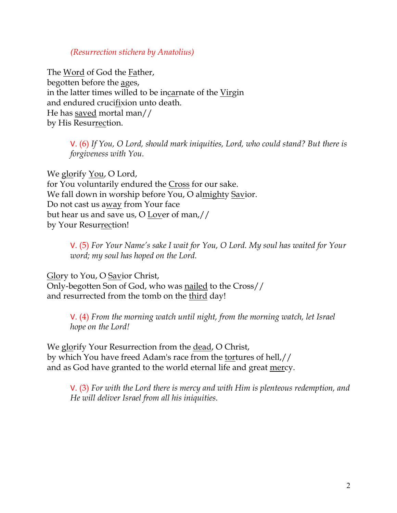#### *(Resurrection stichera by Anatolius)*

The Word of God the Father, begotten before the ages, in the latter times willed to be incarnate of the Virgin and endured crucifixion unto death. He has saved mortal man// by His Resurrection.

> V. (6) *If You, O Lord, should mark iniquities, Lord, who could stand? But there is forgiveness with You.*

We glorify You, O Lord, for You voluntarily endured the Cross for our sake. We fall down in worship before You, O almighty Savior. Do not cast us away from Your face but hear us and save us, O Lover of man,// by Your Resurrection!

> V. (5) *For Your Name's sake I wait for You, O Lord. My soul has waited for Your word; my soul has hoped on the Lord.*

Glory to You, O Savior Christ, Only-begotten Son of God, who was nailed to the Cross// and resurrected from the tomb on the third day!

> V. (4) *From the morning watch until night, from the morning watch, let Israel hope on the Lord!*

We glorify Your Resurrection from the dead, O Christ, by which You have freed Adam's race from the tortures of hell,// and as God have granted to the world eternal life and great mercy.

V. (3) *For with the Lord there is mercy and with Him is plenteous redemption, and He will deliver Israel from all his iniquities.*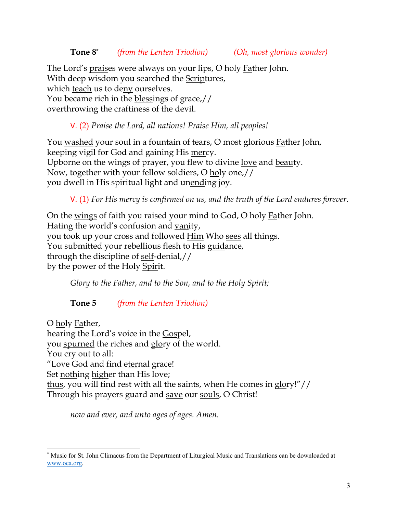**Tone 8\*** *(from the Lenten Triodion) (Oh, most glorious wonder)*

The Lord's praises were always on your lips, O holy Father John. With deep wisdom you searched the Scriptures, which teach us to deny ourselves. You became rich in the blessings of grace,// overthrowing the craftiness of the devil.

V. (2) *Praise the Lord, all nations! Praise Him, all peoples!*

You washed your soul in a fountain of tears, O most glorious Father John, keeping vigil for God and gaining His mercy. Upborne on the wings of prayer, you flew to divine <u>love</u> and beauty. Now, together with your fellow soldiers, O holy one,// you dwell in His spiritual light and unending joy.

V. (1) *For His mercy is confirmed on us, and the truth of the Lord endures forever.* 

On the <u>wings</u> of faith you raised your mind to God, O holy **Father** John. Hating the world's confusion and vanity, you took up your cross and followed **Him** Who sees all things. You submitted your rebellious flesh to His guidance, through the discipline of self-denial,// by the power of the Holy Spirit.

*Glory to the Father, and to the Son, and to the Holy Spirit;*

**Tone 5** *(from the Lenten Triodion)*

O holy Father, hearing the Lord's voice in the Gospel, you spurned the riches and glory of the world. You cry out to all: "Love God and find eternal grace! Set nothing higher than His love; thus, you will find rest with all the saints, when He comes in glory!"// Through his prayers guard and save our souls, O Christ!

*now and ever, and unto ages of ages. Amen.* 

<sup>\*</sup> Music for St. John Climacus from the Department of Liturgical Music and Translations can be downloaded at www.oca.org.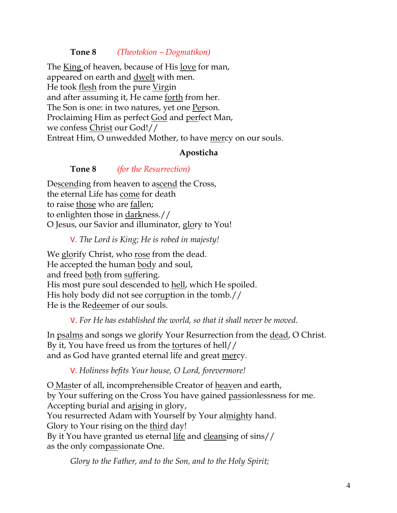### **Tone 8** *(Theotokion – Dogmatikon)*

The King of heaven, because of His love for man, appeared on earth and dwelt with men. He took flesh from the pure Virgin and after assuming it, He came forth from her. The Son is one: in two natures, yet one Person. Proclaiming Him as perfect God and perfect Man, we confess Christ our God!// Entreat Him, O unwedded Mother, to have mercy on our souls.

#### **Aposticha**

#### **Tone 8** *(for the Resurrection)*

Descending from heaven to ascend the Cross, the eternal Life has come for death to raise those who are fallen; to enlighten those in darkness.// O Jesus, our Savior and illuminator, glory to You!

V. *The Lord is King; He is robed in majesty!* 

We glorify Christ, who rose from the dead. He accepted the human body and soul, and freed both from suffering. His most pure soul descended to hell, which He spoiled. His holy body did not see corruption in the tomb.// He is the Redeemer of our souls.

V. *For He has established the world, so that it shall never be moved.*

In psalms and songs we glorify Your Resurrection from the dead, O Christ. By it, You have freed us from the tortures of hell// and as God have granted eternal life and great mercy.

V. *Holiness befits Your house, O Lord, forevermore!* 

O Master of all, incomprehensible Creator of heaven and earth, by Your suffering on the Cross You have gained passionlessness for me. Accepting burial and arising in glory, You resurrected Adam with Yourself by Your almighty hand. Glory to Your rising on the third day! By it You have granted us eternal life and cleansing of sins// as the only compassionate One.

*Glory to the Father, and to the Son, and to the Holy Spirit;*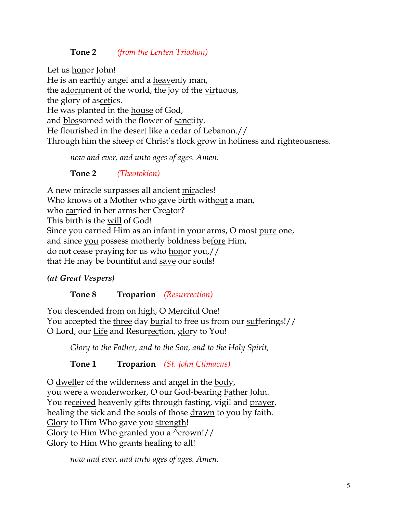## **Tone 2** *(from the Lenten Triodion)*

Let us honor John!

He is an earthly angel and a heavenly man, the adornment of the world, the joy of the virtuous, the glory of ascetics. He was planted in the house of God, and blossomed with the flower of sanctity. He flourished in the desert like a cedar of Lebanon.// Through him the sheep of Christ's flock grow in holiness and righteousness.

*now and ever, and unto ages of ages. Amen.*

**Tone 2** *(Theotokion)*

A new miracle surpasses all ancient miracles! Who knows of a Mother who gave birth without a man, who carried in her arms her Creator? This birth is the will of God! Since you carried Him as an infant in your arms, O most pure one, and since you possess motherly boldness before Him, do not cease praying for us who honor you,// that He may be bountiful and save our souls!

*(at Great Vespers)*

**Tone 8 Troparion** *(Resurrection)*

You descended from on high, O Merciful One! You accepted the three day burial to free us from our sufferings!// O Lord, our Life and Resurrection, glory to You!

*Glory to the Father, and to the Son, and to the Holy Spirit,*

**Tone 1 Troparion** *(St. John Climacus)*

O dweller of the wilderness and angel in the body, you were a wonderworker, O our God-bearing Father John. You received heavenly gifts through fasting, vigil and prayer, healing the sick and the souls of those <u>drawn</u> to you by faith. Glory to Him Who gave you strength! Glory to Him Who granted you a  $\gamma$ crown!// Glory to Him Who grants healing to all!

*now and ever, and unto ages of ages. Amen.*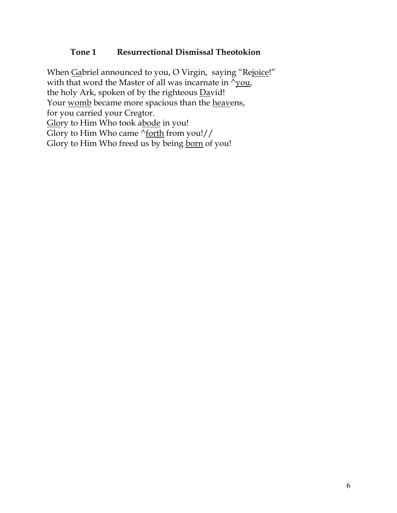### **Tone 1 Resurrectional Dismissal Theotokion**

When Gabriel announced to you, O Virgin, saying "Rejoice!" with that word the Master of all was incarnate in  $\sqrt{you}$ , the holy Ark, spoken of by the righteous David! Your womb became more spacious than the heavens, for you carried your Creator. Glory to Him Who took abode in you! Glory to Him Who came  $\frac{\text{Vert}}{\text{foch}}$  from you!// Glory to Him Who freed us by being born of you!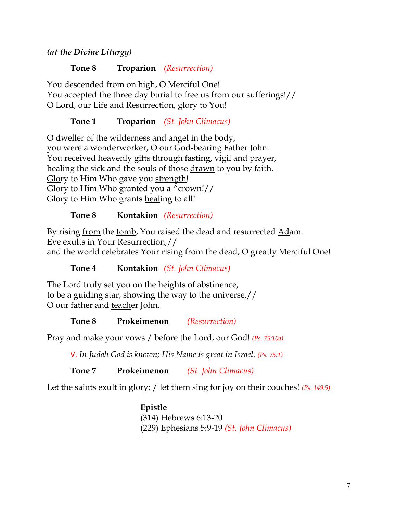*(at the Divine Liturgy)*

**Tone 8 Troparion** *(Resurrection)*

You descended from on high, O Merciful One! You accepted the three day burial to free us from our sufferings!// O Lord, our Life and Resurrection, glory to You!

**Tone 1 Troparion** *(St. John Climacus)*

O dweller of the wilderness and angel in the body, you were a wonderworker, O our God-bearing Father John. You received heavenly gifts through fasting, vigil and prayer, healing the sick and the souls of those drawn to you by faith. Glory to Him Who gave you strength! Glory to Him Who granted you a  $\text{\textdegree}$  crown!// Glory to Him Who grants healing to all!

# **Tone 8 Kontakion** *(Resurrection)*

By rising from the tomb, You raised the dead and resurrected Adam. Eve exults in Your Resurrection,// and the world celebrates Your rising from the dead, O greatly Merciful One!

**Tone 4 Kontakion** *(St. John Climacus)*

The Lord truly set you on the heights of abstinence, to be a guiding star, showing the way to the universe,// O our father and teacher John.

**Tone 8 Prokeimenon** *(Resurrection)*

Pray and make your vows / before the Lord, our God! *(Ps. 75:10a)*

V. *In Judah God is known; His Name is great in Israel. (Ps. 75:1)*

**Tone 7 Prokeimenon** *(St. John Climacus)*

Let the saints exult in glory; / let them sing for joy on their couches! *(Ps. 149:5)*

**Epistle** (314) Hebrews 6:13-20 (229) Ephesians 5:9-19 *(St. John Climacus)*